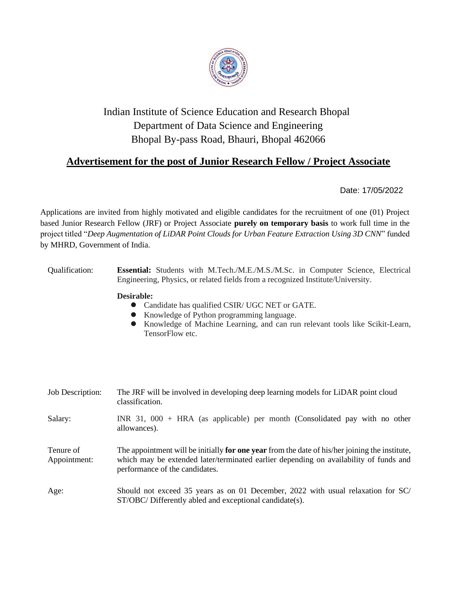

## Indian Institute of Science Education and Research Bhopal Department of Data Science and Engineering Bhopal By-pass Road, Bhauri, Bhopal 462066

## **Advertisement for the post of Junior Research Fellow / Project Associate**

Date: 17/05/2022

Applications are invited from highly motivated and eligible candidates for the recruitment of one (01) Project based Junior Research Fellow (JRF) or Project Associate **purely on temporary basis** to work full time in the project titled "*Deep Augmentation of LiDAR Point Clouds for Urban Feature Extraction Using 3D CNN*" funded by MHRD, Government of India.

| Qualification:            | <b>Essential:</b> Students with M.Tech./M.E./M.S./M.Sc. in Computer Science, Electrical<br>Engineering, Physics, or related fields from a recognized Institute/University.                                                       |
|---------------------------|----------------------------------------------------------------------------------------------------------------------------------------------------------------------------------------------------------------------------------|
|                           | Desirable:<br>Candidate has qualified CSIR/ UGC NET or GATE.<br>Knowledge of Python programming language.<br>Knowledge of Machine Learning, and can run relevant tools like Scikit-Learn,<br>TensorFlow etc.                     |
|                           |                                                                                                                                                                                                                                  |
| Job Description:          | The JRF will be involved in developing deep learning models for LiDAR point cloud<br>classification.                                                                                                                             |
| Salary:                   | INR $31,000 + HRA$ (as applicable) per month (Consolidated pay with no other<br>allowances).                                                                                                                                     |
| Tenure of<br>Appointment: | The appointment will be initially <b>for one year</b> from the date of his/her joining the institute,<br>which may be extended later/terminated earlier depending on availability of funds and<br>performance of the candidates. |
| Age:                      | Should not exceed 35 years as on 01 December, 2022 with usual relaxation for SC/<br>ST/OBC/Differently abled and exceptional candidate(s).                                                                                       |